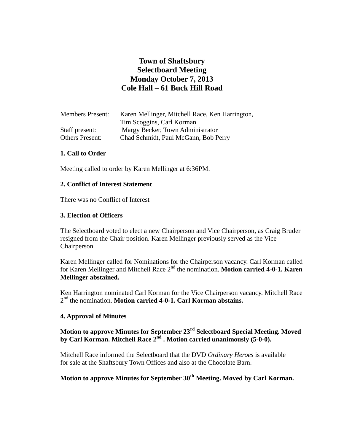# **Town of Shaftsbury Selectboard Meeting Monday October 7, 2013 Cole Hall – 61 Buck Hill Road**

| <b>Members Present:</b> | Karen Mellinger, Mitchell Race, Ken Harrington, |
|-------------------------|-------------------------------------------------|
|                         | Tim Scoggins, Carl Korman                       |
| Staff present:          | Margy Becker, Town Administrator                |
| <b>Others Present:</b>  | Chad Schmidt, Paul McGann, Bob Perry            |

## **1. Call to Order**

Meeting called to order by Karen Mellinger at 6:36PM.

#### **2. Conflict of Interest Statement**

There was no Conflict of Interest

#### **3. Election of Officers**

The Selectboard voted to elect a new Chairperson and Vice Chairperson, as Craig Bruder resigned from the Chair position. Karen Mellinger previously served as the Vice Chairperson.

Karen Mellinger called for Nominations for the Chairperson vacancy. Carl Korman called for Karen Mellinger and Mitchell Race 2nd the nomination. **Motion carried 4-0-1. Karen Mellinger abstained.**

Ken Harrington nominated Carl Korman for the Vice Chairperson vacancy. Mitchell Race 2 nd the nomination. **Motion carried 4-0-1. Carl Korman abstains.**

#### **4. Approval of Minutes**

**Motion to approve Minutes for September 23rd Selectboard Special Meeting. Moved by Carl Korman. Mitchell Race 2nd . Motion carried unanimously (5-0-0).**

Mitchell Race informed the Selectboard that the DVD *Ordinary Heroes* is available for sale at the Shaftsbury Town Offices and also at the Chocolate Barn.

# **Motion to approve Minutes for September 30th Meeting. Moved by Carl Korman.**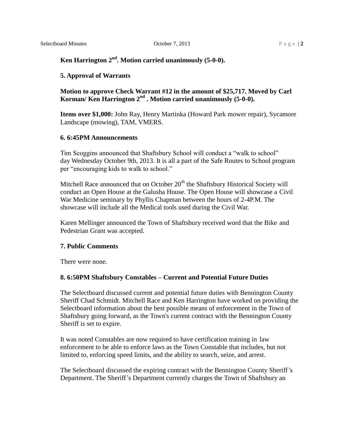# **Ken Harrington 2nd. Motion carried unanimously (5-0-0).**

## **5. Approval of Warrants**

# **Motion to approve Check Warrant #12 in the amount of \$25,717. Moved by Carl Korman/ Ken Harrington 2nd . Motion carried unanimously (5-0-0).**

**Items over \$1,000:** John Ray, Henry Martinka (Howard Park mower repair), Sycamore Landscape (mowing), TAM, VMERS.

#### **6. 6:45PM Announcements**

Tim Scoggins announced that Shaftsbury School will conduct a "walk to school" day Wednesday October 9th, 2013. It is all a part of the Safe Routes to School program per "encouraging kids to walk to school."

Mitchell Race announced that on October  $20<sup>th</sup>$  the Shaftsbury Historical Society will conduct an Open House at the Galusha House. The Open House will showcase a Civil War Medicine seminary by Phyllis Chapman between the hours of 2-4P.M. The showcase will include all the Medical tools used during the Civil War.

Karen Mellinger announced the Town of Shaftsbury received word that the Bike and Pedestrian Grant was accepted.

#### **7. Public Comments**

There were none.

## **8. 6:50PM Shaftsbury Constables – Current and Potential Future Duties**

The Selectboard discussed current and potential future duties with Bennington County Sheriff Chad Schmidt. Mitchell Race and Ken Harrington have worked on providing the Selectboard information about the best possible means of enforcement in the Town of Shaftsbury going forward, as the Town's current contract with the Bennington County Sheriff is set to expire.

It was noted Constables are now required to have certification training in law enforcement to be able to enforce laws as the Town Constable that includes, but not limited to, enforcing speed limits, and the ability to search, seize, and arrest.

The Selectboard discussed the expiring contract with the Bennington County Sheriff's Department. The Sheriff's Department currently charges the Town of Shaftsbury an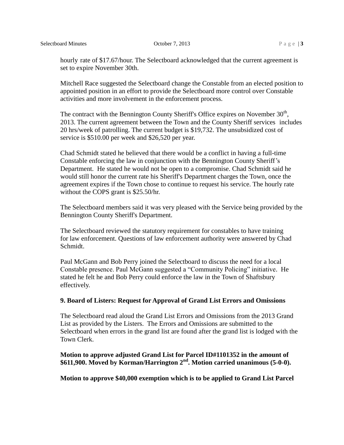hourly rate of \$17.67/hour. The Selectboard acknowledged that the current agreement is set to expire November 30th.

Mitchell Race suggested the Selectboard change the Constable from an elected position to appointed position in an effort to provide the Selectboard more control over Constable activities and more involvement in the enforcement process.

The contract with the Bennington County Sheriff's Office expires on November  $30<sup>th</sup>$ , 2013. The current agreement between the Town and the County Sheriff services includes 20 hrs/week of patrolling. The current budget is \$19,732. The unsubsidized cost of service is \$510.00 per week and \$26,520 per year.

Chad Schmidt stated he believed that there would be a conflict in having a full-time Constable enforcing the law in conjunction with the Bennington County Sheriff's Department. He stated he would not be open to a compromise. Chad Schmidt said he would still honor the current rate his Sheriff's Department charges the Town, once the agreement expires if the Town chose to continue to request his service. The hourly rate without the COPS grant is \$25.50/hr.

The Selectboard members said it was very pleased with the Service being provided by the Bennington County Sheriff's Department.

The Selectboard reviewed the statutory requirement for constables to have training for law enforcement. Questions of law enforcement authority were answered by Chad Schmidt.

Paul McGann and Bob Perry joined the Selectboard to discuss the need for a local Constable presence. Paul McGann suggested a "Community Policing" initiative. He stated he felt he and Bob Perry could enforce the law in the Town of Shaftsbury effectively.

## **9. Board of Listers: Request for Approval of Grand List Errors and Omissions**

The Selectboard read aloud the Grand List Errors and Omissions from the 2013 Grand List as provided by the Listers. The Errors and Omissions are submitted to the Selectboard when errors in the grand list are found after the grand list is lodged with the Town Clerk.

# **Motion to approve adjusted Grand List for Parcel ID#1101352 in the amount of \$611,900. Moved by Korman/Harrington 2nd. Motion carried unanimous (5-0-0).**

**Motion to approve \$40,000 exemption which is to be applied to Grand List Parcel**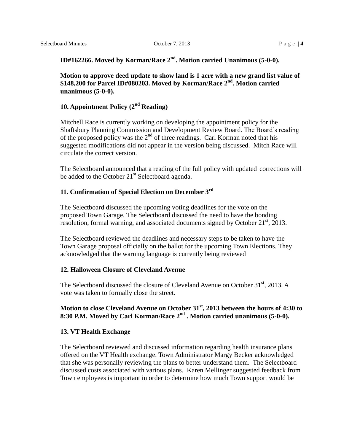# **ID#162266. Moved by Korman/Race 2nd. Motion carried Unanimous (5-0-0).**

**Motion to approve deed update to show land is 1 acre with a new grand list value of \$148,200 for Parcel ID#080203. Moved by Korman/Race 2nd. Motion carried unanimous (5-0-0).**

# **10. Appointment Policy (2nd Reading)**

Mitchell Race is currently working on developing the appointment policy for the Shaftsbury Planning Commission and Development Review Board. The Board's reading of the proposed policy was the  $2<sup>nd</sup>$  of three readings. Carl Korman noted that his suggested modifications did not appear in the version being discussed. Mitch Race will circulate the correct version.

The Selectboard announced that a reading of the full policy with updated corrections will be added to the October  $21<sup>st</sup>$  Selectboard agenda.

# **11. Confirmation of Special Election on December 3rd**

The Selectboard discussed the upcoming voting deadlines for the vote on the proposed Town Garage. The Selectboard discussed the need to have the bonding resolution, formal warning, and associated documents signed by October 21<sup>st</sup>, 2013.

The Selectboard reviewed the deadlines and necessary steps to be taken to have the Town Garage proposal officially on the ballot for the upcoming Town Elections. They acknowledged that the warning language is currently being reviewed

#### **12. Halloween Closure of Cleveland Avenue**

The Selectboard discussed the closure of Cleveland Avenue on October 31<sup>st</sup>, 2013. A vote was taken to formally close the street.

# **Motion to close Cleveland Avenue on October 31st, 2013 between the hours of 4:30 to 8:30 P.M. Moved by Carl Korman/Race 2nd . Motion carried unanimous (5-0-0).**

#### **13. VT Health Exchange**

The Selectboard reviewed and discussed information regarding health insurance plans offered on the VT Health exchange. Town Administrator Margy Becker acknowledged that she was personally reviewing the plans to better understand them. The Selectboard discussed costs associated with various plans. Karen Mellinger suggested feedback from Town employees is important in order to determine how much Town support would be